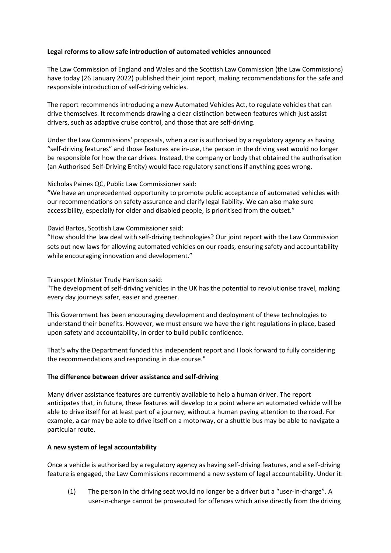## **Legal reforms to allow safe introduction of automated vehicles announced**

The Law Commission of England and Wales and the Scottish Law Commission (the Law Commissions) have today (26 January 2022) published their joint report, making recommendations for the safe and responsible introduction of self-driving vehicles.

The report recommends introducing a new Automated Vehicles Act, to regulate vehicles that can drive themselves. It recommends drawing a clear distinction between features which just assist drivers, such as adaptive cruise control, and those that are self-driving.

Under the Law Commissions' proposals, when a car is authorised by a regulatory agency as having "self-driving features" and those features are in-use, the person in the driving seat would no longer be responsible for how the car drives. Instead, the company or body that obtained the authorisation (an Authorised Self-Driving Entity) would face regulatory sanctions if anything goes wrong.

Nicholas Paines QC, Public Law Commissioner said:

"We have an unprecedented opportunity to promote public acceptance of automated vehicles with our recommendations on safety assurance and clarify legal liability. We can also make sure accessibility, especially for older and disabled people, is prioritised from the outset."

David Bartos, Scottish Law Commissioner said:

"How should the law deal with self-driving technologies? Our joint report with the Law Commission sets out new laws for allowing automated vehicles on our roads, ensuring safety and accountability while encouraging innovation and development."

Transport Minister Trudy Harrison said:

"The development of self-driving vehicles in the UK has the potential to revolutionise travel, making every day journeys safer, easier and greener.

This Government has been encouraging development and deployment of these technologies to understand their benefits. However, we must ensure we have the right regulations in place, based upon safety and accountability, in order to build public confidence.

That's why the Department funded this independent report and I look forward to fully considering the recommendations and responding in due course."

# **The difference between driver assistance and self-driving**

Many driver assistance features are currently available to help a human driver. The report anticipates that, in future, these features will develop to a point where an automated vehicle will be able to drive itself for at least part of a journey, without a human paying attention to the road. For example, a car may be able to drive itself on a motorway, or a shuttle bus may be able to navigate a particular route.

# **A new system of legal accountability**

Once a vehicle is authorised by a regulatory agency as having self-driving features, and a self-driving feature is engaged, the Law Commissions recommend a new system of legal accountability. Under it:

(1) The person in the driving seat would no longer be a driver but a "user-in-charge". A user-in-charge cannot be prosecuted for offences which arise directly from the driving